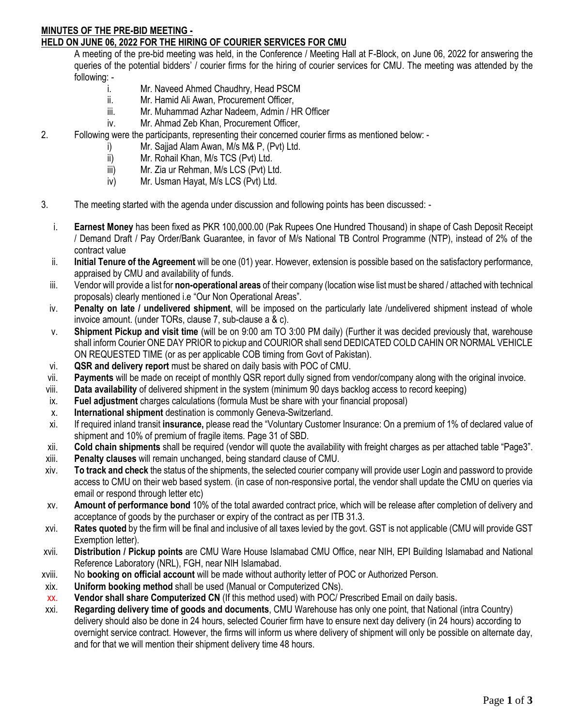#### **MINUTES OF THE PRE-BID MEETING - HELD ON JUNE 06, 2022 FOR THE HIRING OF COURIER SERVICES FOR CMU**

A meeting of the pre-bid meeting was held, in the Conference / Meeting Hall at F-Block, on June 06, 2022 for answering the queries of the potential bidders' / courier firms for the hiring of courier services for CMU. The meeting was attended by the following: -

- i. Mr. Naveed Ahmed Chaudhry, Head PSCM
- ii. Mr. Hamid Ali Awan, Procurement Officer,
- iii. Mr. Muhammad Azhar Nadeem, Admin / HR Officer
- iv. Mr. Ahmad Zeb Khan, Procurement Officer,
- 2. Following were the participants, representing their concerned courier firms as mentioned below:
	- i) Mr. Sajjad Alam Awan, M/s M& P, (Pvt) Ltd.
	- ii) Mr. Rohail Khan, M/s TCS (Pvt) Ltd.
	- iii) Mr. Zia ur Rehman, M/s LCS (Pvt) Ltd.
	- iv) Mr. Usman Hayat, M/s LCS (Pvt) Ltd.
- 3. The meeting started with the agenda under discussion and following points has been discussed:
	- i. **Earnest Money** has been fixed as PKR 100,000.00 (Pak Rupees One Hundred Thousand) in shape of Cash Deposit Receipt / Demand Draft / Pay Order/Bank Guarantee, in favor of M/s National TB Control Programme (NTP), instead of 2% of the contract value
	- ii. **Initial Tenure of the Agreement** will be one (01) year. However, extension is possible based on the satisfactory performance, appraised by CMU and availability of funds.
	- iii. Vendor will provide a list for **non-operational areas** of their company (location wise list must be shared / attached with technical proposals) clearly mentioned i.e "Our Non Operational Areas".
	- iv. **Penalty on late / undelivered shipment**, will be imposed on the particularly late /undelivered shipment instead of whole invoice amount. (under TORs, clause 7, sub-clause a & c).
	- v. **Shipment Pickup and visit time** (will be on 9:00 am TO 3:00 PM daily) (Further it was decided previously that, warehouse shall inform Courier ONE DAY PRIOR to pickup and COURIOR shall send DEDICATED COLD CAHIN OR NORMAL VEHICLE ON REQUESTED TIME (or as per applicable COB timing from Govt of Pakistan).
	- vi. **QSR and delivery report** must be shared on daily basis with POC of CMU.
- vii. **Payments** will be made on receipt of monthly QSR report dully signed from vendor/company along with the original invoice.
- viii. **Data availability** of delivered shipment in the system (minimum 90 days backlog access to record keeping)
- ix. **Fuel adjustment** charges calculations (formula Must be share with your financial proposal)
- x. **International shipment** destination is commonly Geneva-Switzerland.
- xi. If required inland transit **insurance,** please read the "Voluntary Customer Insurance: On a premium of 1% of declared value of shipment and 10% of premium of fragile items. Page 31 of SBD.
- xii. **Cold chain shipments** shall be required (vendor will quote the availability with freight charges as per attached table "Page3".
- xiii. **Penalty clauses** will remain unchanged, being standard clause of CMU.
- xiv. **To track and check** the status of the shipments, the selected courier company will provide user Login and password to provide access to CMU on their web based system. (in case of non-responsive portal, the vendor shall update the CMU on queries via email or respond through letter etc)
- xv. **Amount of performance bond** 10% of the total awarded contract price, which will be release after completion of delivery and acceptance of goods by the purchaser or expiry of the contract as per ITB 31.3.
- xvi. **Rates quoted** by the firm will be final and inclusive of all taxes levied by the govt. GST is not applicable (CMU will provide GST Exemption letter).
- xvii. **Distribution / Pickup points** are CMU Ware House Islamabad CMU Office, near NIH, EPI Building Islamabad and National Reference Laboratory (NRL), FGH, near NIH Islamabad.
- xviii. No **booking on official account** will be made without authority letter of POC or Authorized Person.
- xix. **Uniform booking method** shall be used (Manual or Computerized CNs).
- xx. **Vendor shall share Computerized CN** (If this method used) with POC/ Prescribed Email on daily basis**.**
- xxi. **Regarding delivery time of goods and documents**, CMU Warehouse has only one point, that National (intra Country) delivery should also be done in 24 hours, selected Courier firm have to ensure next day delivery (in 24 hours) according to overnight service contract. However, the firms will inform us where delivery of shipment will only be possible on alternate day, and for that we will mention their shipment delivery time 48 hours.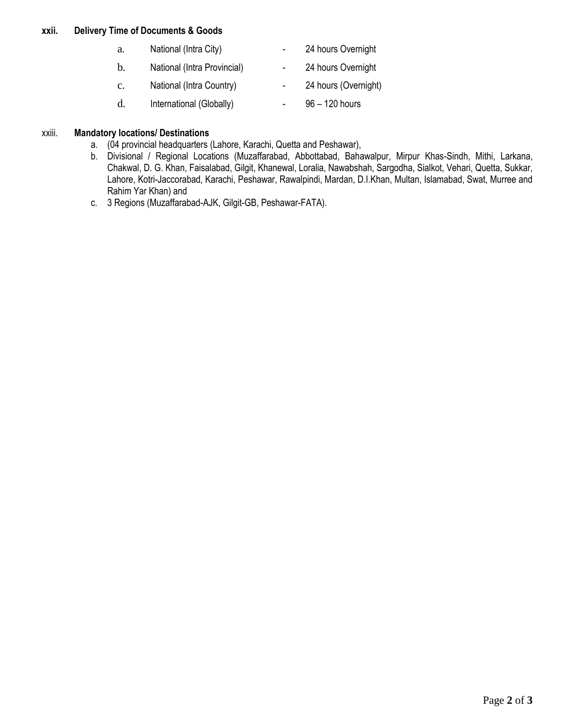#### **xxii. Delivery Time of Documents & Goods**

| a.             | National (Intra City)       | 24 hours Overnight   |
|----------------|-----------------------------|----------------------|
| $\mathbf{b}$ . | National (Intra Provincial) | 24 hours Overnight   |
| $\mathbf{C}$ . | National (Intra Country)    | 24 hours (Overnight) |
| d.             | International (Globally)    | $96 - 120$ hours     |

#### xxiii. **Mandatory locations/ Destinations**

- a. (04 provincial headquarters (Lahore, Karachi, Quetta and Peshawar),
- b. Divisional / Regional Locations (Muzaffarabad, Abbottabad, Bahawalpur, Mirpur Khas-Sindh, Mithi, Larkana, Chakwal, D. G. Khan, Faisalabad, Gilgit, Khanewal, Loralia, Nawabshah, Sargodha, Sialkot, Vehari, Quetta, Sukkar, Lahore, Kotri-Jaccorabad, Karachi, Peshawar, Rawalpindi, Mardan, D.I.Khan, Multan, Islamabad, Swat, Murree and Rahim Yar Khan) and
- c. 3 Regions (Muzaffarabad-AJK, Gilgit-GB, Peshawar-FATA).